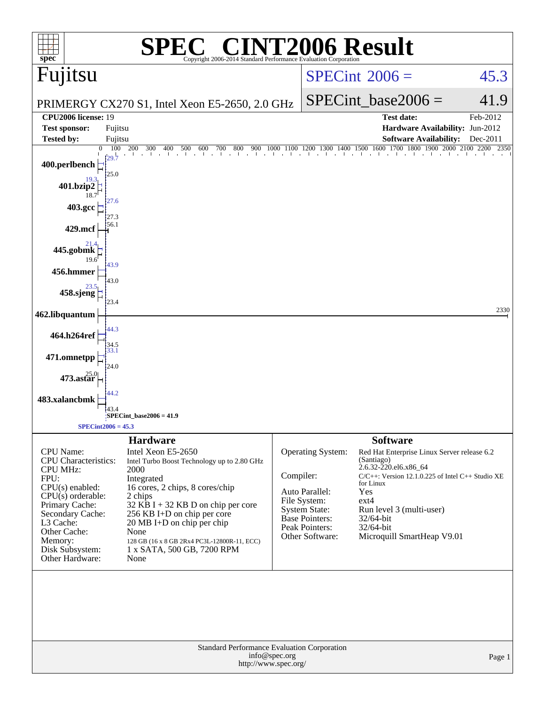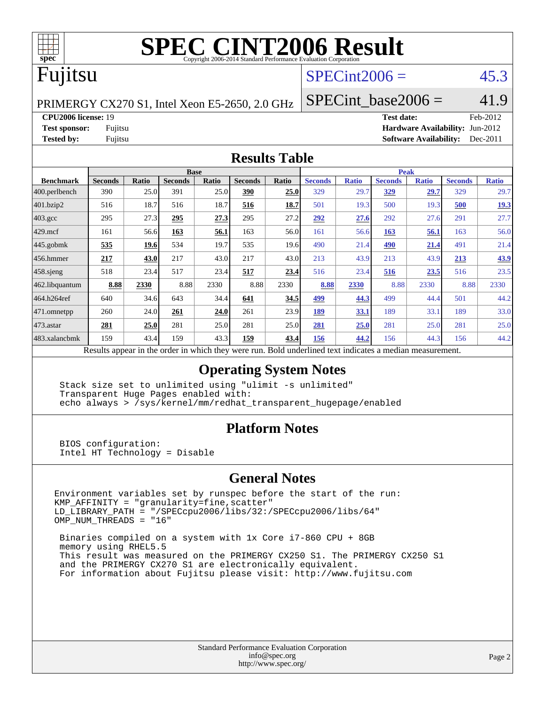

# **[SPEC CINT2006 Result](http://www.spec.org/auto/cpu2006/Docs/result-fields.html#SPECCINT2006Result)**

## Fujitsu

### $SPECint2006 =$  45.3

PRIMERGY CX270 S1, Intel Xeon E5-2650, 2.0 GHz

SPECint base2006 =  $41.9$ 

**[CPU2006 license:](http://www.spec.org/auto/cpu2006/Docs/result-fields.html#CPU2006license)** 19 **[Test date:](http://www.spec.org/auto/cpu2006/Docs/result-fields.html#Testdate)** Feb-2012

**[Test sponsor:](http://www.spec.org/auto/cpu2006/Docs/result-fields.html#Testsponsor)** Fujitsu **[Hardware Availability:](http://www.spec.org/auto/cpu2006/Docs/result-fields.html#HardwareAvailability)** Jun-2012 **[Tested by:](http://www.spec.org/auto/cpu2006/Docs/result-fields.html#Testedby)** Fujitsu **[Software Availability:](http://www.spec.org/auto/cpu2006/Docs/result-fields.html#SoftwareAvailability)** Dec-2011

#### **[Results Table](http://www.spec.org/auto/cpu2006/Docs/result-fields.html#ResultsTable)**

|                                                                                                          | <b>Base</b>    |              |                |       |                |       |                | <b>Peak</b>  |                |              |                |              |  |
|----------------------------------------------------------------------------------------------------------|----------------|--------------|----------------|-------|----------------|-------|----------------|--------------|----------------|--------------|----------------|--------------|--|
| <b>Benchmark</b>                                                                                         | <b>Seconds</b> | <b>Ratio</b> | <b>Seconds</b> | Ratio | <b>Seconds</b> | Ratio | <b>Seconds</b> | <b>Ratio</b> | <b>Seconds</b> | <b>Ratio</b> | <b>Seconds</b> | <b>Ratio</b> |  |
| $ 400.\text{perlbench}$                                                                                  | 390            | 25.0         | 391            | 25.0  | 390            | 25.0  | 329            | 29.7         | <u>329</u>     | 29.7         | 329            | 29.7         |  |
| 401.bzip2                                                                                                | 516            | 18.7         | 516            | 18.7  | 516            | 18.7  | 501            | 19.3         | 500            | 19.3         | 500            | 19.3         |  |
| $403.\text{gcc}$                                                                                         | 295            | 27.3         | 295            | 27.3  | 295            | 27.2  | 292            | 27.6         | 292            | 27.6         | 291            | 27.7         |  |
| $429$ mcf                                                                                                | 161            | 56.6         | 163            | 56.1  | 163            | 56.0  | 161            | 56.6         | 163            | 56.1         | 163            | 56.0         |  |
| $445$ .gobmk                                                                                             | 535            | 19.6         | 534            | 19.7  | 535            | 19.6  | 490            | 21.4         | 490            | 21.4         | 491            | 21.4         |  |
| $456.$ hmmer                                                                                             | 217            | 43.0         | 217            | 43.0  | 217            | 43.0  | 213            | 43.9         | 213            | 43.9         | 213            | 43.9         |  |
| $458$ .sjeng                                                                                             | 518            | 23.4         | 517            | 23.4  | 517            | 23.4  | 516            | 23.4         | 516            | <u>23.5</u>  | 516            | 23.5         |  |
| 462.libquantum                                                                                           | 8.88           | 2330         | 8.88           | 2330  | 8.88           | 2330  | 8.88           | 2330         | 8.88           | 2330         | 8.88           | 2330         |  |
| 464.h264ref                                                                                              | 640            | 34.6         | 643            | 34.4  | 641            | 34.5  | 499            | 44.3         | 499            | 44.4         | 501            | 44.2         |  |
| 471.omnetpp                                                                                              | 260            | 24.0         | 261            | 24.0  | 261            | 23.9  | 189            | 33.1         | 189            | 33.1         | 189            | 33.0         |  |
| $473.$ astar                                                                                             | 281            | 25.0         | 281            | 25.0  | 281            | 25.0  | 281            | 25.0         | 281            | 25.0         | 281            | 25.0         |  |
| 483.xalancbmk                                                                                            | 159            | 43.4         | 159            | 43.3  | 159            | 43.4  | 156            | 44.2         | 156            | 44.3         | 156            | 44.2         |  |
| Results appear in the order in which they were run. Bold underlined text indicates a median measurement. |                |              |                |       |                |       |                |              |                |              |                |              |  |

#### **[Operating System Notes](http://www.spec.org/auto/cpu2006/Docs/result-fields.html#OperatingSystemNotes)**

 Stack size set to unlimited using "ulimit -s unlimited" Transparent Huge Pages enabled with: echo always > /sys/kernel/mm/redhat\_transparent\_hugepage/enabled

#### **[Platform Notes](http://www.spec.org/auto/cpu2006/Docs/result-fields.html#PlatformNotes)**

 BIOS configuration: Intel HT Technology = Disable

#### **[General Notes](http://www.spec.org/auto/cpu2006/Docs/result-fields.html#GeneralNotes)**

Environment variables set by runspec before the start of the run: KMP\_AFFINITY = "granularity=fine,scatter" LD\_LIBRARY\_PATH = "/SPECcpu2006/libs/32:/SPECcpu2006/libs/64" OMP\_NUM\_THREADS = "16"

 Binaries compiled on a system with 1x Core i7-860 CPU + 8GB memory using RHEL5.5 This result was measured on the PRIMERGY CX250 S1. The PRIMERGY CX250 S1 and the PRIMERGY CX270 S1 are electronically equivalent. For information about Fujitsu please visit: <http://www.fujitsu.com>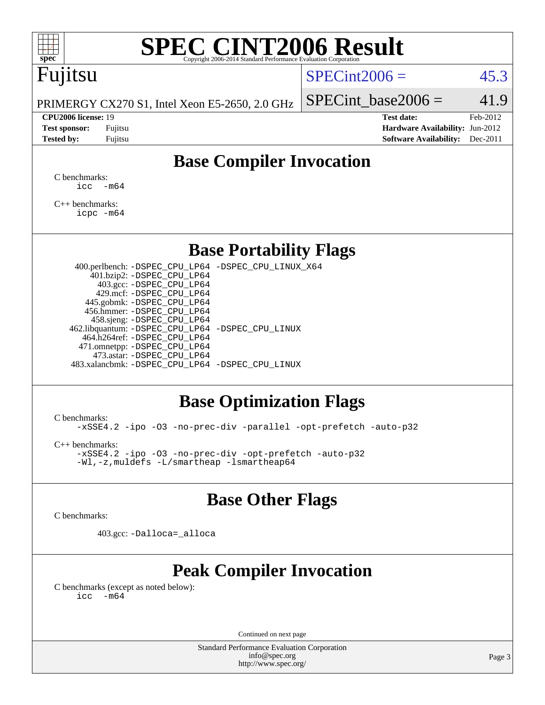

# **[SPEC CINT2006 Result](http://www.spec.org/auto/cpu2006/Docs/result-fields.html#SPECCINT2006Result)**

## Fujitsu

#### $SPECint2006 = 45.3$  $SPECint2006 = 45.3$

PRIMERGY CX270 S1, Intel Xeon E5-2650, 2.0 GHz

SPECint base2006 =  $41.9$ 

**[CPU2006 license:](http://www.spec.org/auto/cpu2006/Docs/result-fields.html#CPU2006license)** 19 **[Test date:](http://www.spec.org/auto/cpu2006/Docs/result-fields.html#Testdate)** Feb-2012 **[Test sponsor:](http://www.spec.org/auto/cpu2006/Docs/result-fields.html#Testsponsor)** Fujitsu **[Hardware Availability:](http://www.spec.org/auto/cpu2006/Docs/result-fields.html#HardwareAvailability)** Jun-2012 **[Tested by:](http://www.spec.org/auto/cpu2006/Docs/result-fields.html#Testedby)** Fujitsu **[Software Availability:](http://www.spec.org/auto/cpu2006/Docs/result-fields.html#SoftwareAvailability)** Dec-2011

### **[Base Compiler Invocation](http://www.spec.org/auto/cpu2006/Docs/result-fields.html#BaseCompilerInvocation)**

[C benchmarks](http://www.spec.org/auto/cpu2006/Docs/result-fields.html#Cbenchmarks):  $\text{icc}$   $-\text{m64}$ 

[C++ benchmarks:](http://www.spec.org/auto/cpu2006/Docs/result-fields.html#CXXbenchmarks) [icpc -m64](http://www.spec.org/cpu2006/results/res2012q3/cpu2006-20120620-23133.flags.html#user_CXXbase_intel_icpc_64bit_fc66a5337ce925472a5c54ad6a0de310)

#### **[Base Portability Flags](http://www.spec.org/auto/cpu2006/Docs/result-fields.html#BasePortabilityFlags)**

 400.perlbench: [-DSPEC\\_CPU\\_LP64](http://www.spec.org/cpu2006/results/res2012q3/cpu2006-20120620-23133.flags.html#b400.perlbench_basePORTABILITY_DSPEC_CPU_LP64) [-DSPEC\\_CPU\\_LINUX\\_X64](http://www.spec.org/cpu2006/results/res2012q3/cpu2006-20120620-23133.flags.html#b400.perlbench_baseCPORTABILITY_DSPEC_CPU_LINUX_X64) 401.bzip2: [-DSPEC\\_CPU\\_LP64](http://www.spec.org/cpu2006/results/res2012q3/cpu2006-20120620-23133.flags.html#suite_basePORTABILITY401_bzip2_DSPEC_CPU_LP64) 403.gcc: [-DSPEC\\_CPU\\_LP64](http://www.spec.org/cpu2006/results/res2012q3/cpu2006-20120620-23133.flags.html#suite_basePORTABILITY403_gcc_DSPEC_CPU_LP64) 429.mcf: [-DSPEC\\_CPU\\_LP64](http://www.spec.org/cpu2006/results/res2012q3/cpu2006-20120620-23133.flags.html#suite_basePORTABILITY429_mcf_DSPEC_CPU_LP64) 445.gobmk: [-DSPEC\\_CPU\\_LP64](http://www.spec.org/cpu2006/results/res2012q3/cpu2006-20120620-23133.flags.html#suite_basePORTABILITY445_gobmk_DSPEC_CPU_LP64) 456.hmmer: [-DSPEC\\_CPU\\_LP64](http://www.spec.org/cpu2006/results/res2012q3/cpu2006-20120620-23133.flags.html#suite_basePORTABILITY456_hmmer_DSPEC_CPU_LP64) 458.sjeng: [-DSPEC\\_CPU\\_LP64](http://www.spec.org/cpu2006/results/res2012q3/cpu2006-20120620-23133.flags.html#suite_basePORTABILITY458_sjeng_DSPEC_CPU_LP64) 462.libquantum: [-DSPEC\\_CPU\\_LP64](http://www.spec.org/cpu2006/results/res2012q3/cpu2006-20120620-23133.flags.html#suite_basePORTABILITY462_libquantum_DSPEC_CPU_LP64) [-DSPEC\\_CPU\\_LINUX](http://www.spec.org/cpu2006/results/res2012q3/cpu2006-20120620-23133.flags.html#b462.libquantum_baseCPORTABILITY_DSPEC_CPU_LINUX) 464.h264ref: [-DSPEC\\_CPU\\_LP64](http://www.spec.org/cpu2006/results/res2012q3/cpu2006-20120620-23133.flags.html#suite_basePORTABILITY464_h264ref_DSPEC_CPU_LP64) 471.omnetpp: [-DSPEC\\_CPU\\_LP64](http://www.spec.org/cpu2006/results/res2012q3/cpu2006-20120620-23133.flags.html#suite_basePORTABILITY471_omnetpp_DSPEC_CPU_LP64) 473.astar: [-DSPEC\\_CPU\\_LP64](http://www.spec.org/cpu2006/results/res2012q3/cpu2006-20120620-23133.flags.html#suite_basePORTABILITY473_astar_DSPEC_CPU_LP64) 483.xalancbmk: [-DSPEC\\_CPU\\_LP64](http://www.spec.org/cpu2006/results/res2012q3/cpu2006-20120620-23133.flags.html#suite_basePORTABILITY483_xalancbmk_DSPEC_CPU_LP64) [-DSPEC\\_CPU\\_LINUX](http://www.spec.org/cpu2006/results/res2012q3/cpu2006-20120620-23133.flags.html#b483.xalancbmk_baseCXXPORTABILITY_DSPEC_CPU_LINUX)

#### **[Base Optimization Flags](http://www.spec.org/auto/cpu2006/Docs/result-fields.html#BaseOptimizationFlags)**

[C benchmarks](http://www.spec.org/auto/cpu2006/Docs/result-fields.html#Cbenchmarks):

[-xSSE4.2](http://www.spec.org/cpu2006/results/res2012q3/cpu2006-20120620-23133.flags.html#user_CCbase_f-xSSE42_f91528193cf0b216347adb8b939d4107) [-ipo](http://www.spec.org/cpu2006/results/res2012q3/cpu2006-20120620-23133.flags.html#user_CCbase_f-ipo) [-O3](http://www.spec.org/cpu2006/results/res2012q3/cpu2006-20120620-23133.flags.html#user_CCbase_f-O3) [-no-prec-div](http://www.spec.org/cpu2006/results/res2012q3/cpu2006-20120620-23133.flags.html#user_CCbase_f-no-prec-div) [-parallel](http://www.spec.org/cpu2006/results/res2012q3/cpu2006-20120620-23133.flags.html#user_CCbase_f-parallel) [-opt-prefetch](http://www.spec.org/cpu2006/results/res2012q3/cpu2006-20120620-23133.flags.html#user_CCbase_f-opt-prefetch) [-auto-p32](http://www.spec.org/cpu2006/results/res2012q3/cpu2006-20120620-23133.flags.html#user_CCbase_f-auto-p32)

[C++ benchmarks:](http://www.spec.org/auto/cpu2006/Docs/result-fields.html#CXXbenchmarks)

[-xSSE4.2](http://www.spec.org/cpu2006/results/res2012q3/cpu2006-20120620-23133.flags.html#user_CXXbase_f-xSSE42_f91528193cf0b216347adb8b939d4107) [-ipo](http://www.spec.org/cpu2006/results/res2012q3/cpu2006-20120620-23133.flags.html#user_CXXbase_f-ipo) [-O3](http://www.spec.org/cpu2006/results/res2012q3/cpu2006-20120620-23133.flags.html#user_CXXbase_f-O3) [-no-prec-div](http://www.spec.org/cpu2006/results/res2012q3/cpu2006-20120620-23133.flags.html#user_CXXbase_f-no-prec-div) [-opt-prefetch](http://www.spec.org/cpu2006/results/res2012q3/cpu2006-20120620-23133.flags.html#user_CXXbase_f-opt-prefetch) [-auto-p32](http://www.spec.org/cpu2006/results/res2012q3/cpu2006-20120620-23133.flags.html#user_CXXbase_f-auto-p32) [-Wl,-z,muldefs](http://www.spec.org/cpu2006/results/res2012q3/cpu2006-20120620-23133.flags.html#user_CXXbase_link_force_multiple1_74079c344b956b9658436fd1b6dd3a8a) [-L/smartheap -lsmartheap64](http://www.spec.org/cpu2006/results/res2012q3/cpu2006-20120620-23133.flags.html#user_CXXbase_SmartHeap64_5e654037dadeae1fe403ab4b4466e60b)

#### **[Base Other Flags](http://www.spec.org/auto/cpu2006/Docs/result-fields.html#BaseOtherFlags)**

[C benchmarks](http://www.spec.org/auto/cpu2006/Docs/result-fields.html#Cbenchmarks):

403.gcc: [-Dalloca=\\_alloca](http://www.spec.org/cpu2006/results/res2012q3/cpu2006-20120620-23133.flags.html#b403.gcc_baseEXTRA_CFLAGS_Dalloca_be3056838c12de2578596ca5467af7f3)

### **[Peak Compiler Invocation](http://www.spec.org/auto/cpu2006/Docs/result-fields.html#PeakCompilerInvocation)**

[C benchmarks \(except as noted below\)](http://www.spec.org/auto/cpu2006/Docs/result-fields.html#Cbenchmarksexceptasnotedbelow):  $\text{icc}$  -m64

Continued on next page

Standard Performance Evaluation Corporation [info@spec.org](mailto:info@spec.org) <http://www.spec.org/>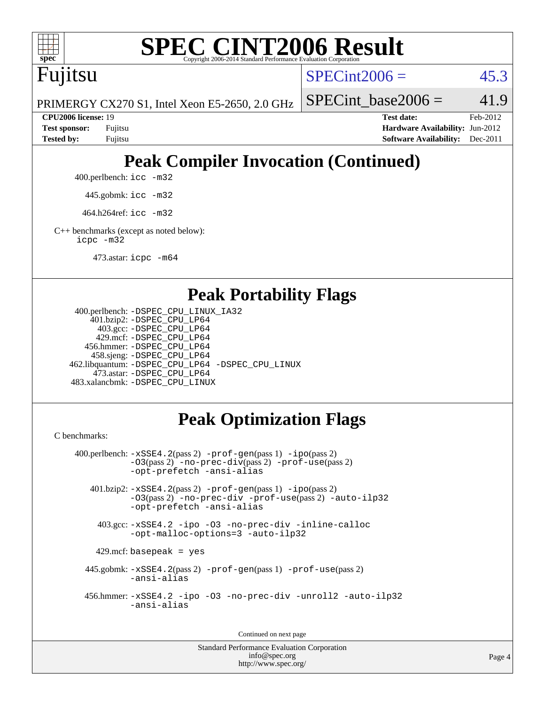

# **[SPEC CINT2006 Result](http://www.spec.org/auto/cpu2006/Docs/result-fields.html#SPECCINT2006Result)**

Fujitsu

 $SPECint2006 = 45.3$  $SPECint2006 = 45.3$ 

PRIMERGY CX270 S1, Intel Xeon E5-2650, 2.0 GHz

SPECint base2006 =  $41.9$ 

**[CPU2006 license:](http://www.spec.org/auto/cpu2006/Docs/result-fields.html#CPU2006license)** 19 **[Test date:](http://www.spec.org/auto/cpu2006/Docs/result-fields.html#Testdate)** Feb-2012 **[Test sponsor:](http://www.spec.org/auto/cpu2006/Docs/result-fields.html#Testsponsor)** Fujitsu **[Hardware Availability:](http://www.spec.org/auto/cpu2006/Docs/result-fields.html#HardwareAvailability)** Jun-2012 **[Tested by:](http://www.spec.org/auto/cpu2006/Docs/result-fields.html#Testedby)** Fujitsu **[Software Availability:](http://www.spec.org/auto/cpu2006/Docs/result-fields.html#SoftwareAvailability)** Dec-2011

# **[Peak Compiler Invocation \(Continued\)](http://www.spec.org/auto/cpu2006/Docs/result-fields.html#PeakCompilerInvocation)**

400.perlbench: [icc -m32](http://www.spec.org/cpu2006/results/res2012q3/cpu2006-20120620-23133.flags.html#user_peakCCLD400_perlbench_intel_icc_a6a621f8d50482236b970c6ac5f55f93)

445.gobmk: [icc -m32](http://www.spec.org/cpu2006/results/res2012q3/cpu2006-20120620-23133.flags.html#user_peakCCLD445_gobmk_intel_icc_a6a621f8d50482236b970c6ac5f55f93)

464.h264ref: [icc -m32](http://www.spec.org/cpu2006/results/res2012q3/cpu2006-20120620-23133.flags.html#user_peakCCLD464_h264ref_intel_icc_a6a621f8d50482236b970c6ac5f55f93)

[C++ benchmarks \(except as noted below\):](http://www.spec.org/auto/cpu2006/Docs/result-fields.html#CXXbenchmarksexceptasnotedbelow) [icpc -m32](http://www.spec.org/cpu2006/results/res2012q3/cpu2006-20120620-23133.flags.html#user_CXXpeak_intel_icpc_4e5a5ef1a53fd332b3c49e69c3330699)

473.astar: [icpc -m64](http://www.spec.org/cpu2006/results/res2012q3/cpu2006-20120620-23133.flags.html#user_peakCXXLD473_astar_intel_icpc_64bit_fc66a5337ce925472a5c54ad6a0de310)

#### **[Peak Portability Flags](http://www.spec.org/auto/cpu2006/Docs/result-fields.html#PeakPortabilityFlags)**

```
 400.perlbench: -DSPEC_CPU_LINUX_IA32
    401.bzip2: -DSPEC_CPU_LP64
      403.gcc: -DSPEC_CPU_LP64
     429.mcf: -DSPEC_CPU_LP64
   456.hmmer: -DSPEC_CPU_LP64
    458.sjeng: -DSPEC_CPU_LP64
462.libquantum: -DSPEC_CPU_LP64 -DSPEC_CPU_LINUX
     473.astar: -DSPEC_CPU_LP64
483.xalancbmk: -DSPEC_CPU_LINUX
```
## **[Peak Optimization Flags](http://www.spec.org/auto/cpu2006/Docs/result-fields.html#PeakOptimizationFlags)**

[C benchmarks](http://www.spec.org/auto/cpu2006/Docs/result-fields.html#Cbenchmarks):

```
 400.perlbench: -xSSE4.2(pass 2) -prof-gen(pass 1) -ipo(pass 2)
           -O3(pass 2) -no-prec-div(pass 2) -prof-use(pass 2)
          -opt-prefetch -ansi-alias
   401.bzip2: -xSSE4.2(pass 2) -prof-gen(pass 1) -ipo(pass 2)
           -O3(pass 2) -no-prec-div -prof-use(pass 2) -auto-ilp32
           -opt-prefetch -ansi-alias
    403.gcc: -xSSE4.2 -ipo -O3 -no-prec-div -inline-calloc
           -opt-malloc-options=3 -auto-ilp32
   429.mcf: basepeak = yes
  445.gobmk: -xSSE4.2(pass 2) -prof-gen(pass 1) -prof-use(pass 2)
           -ansi-alias
  456.hmmer: -xSSE4.2 -ipo -O3 -no-prec-div -unroll2 -auto-ilp32
           -ansi-alias
```
Continued on next page

Standard Performance Evaluation Corporation [info@spec.org](mailto:info@spec.org) <http://www.spec.org/>